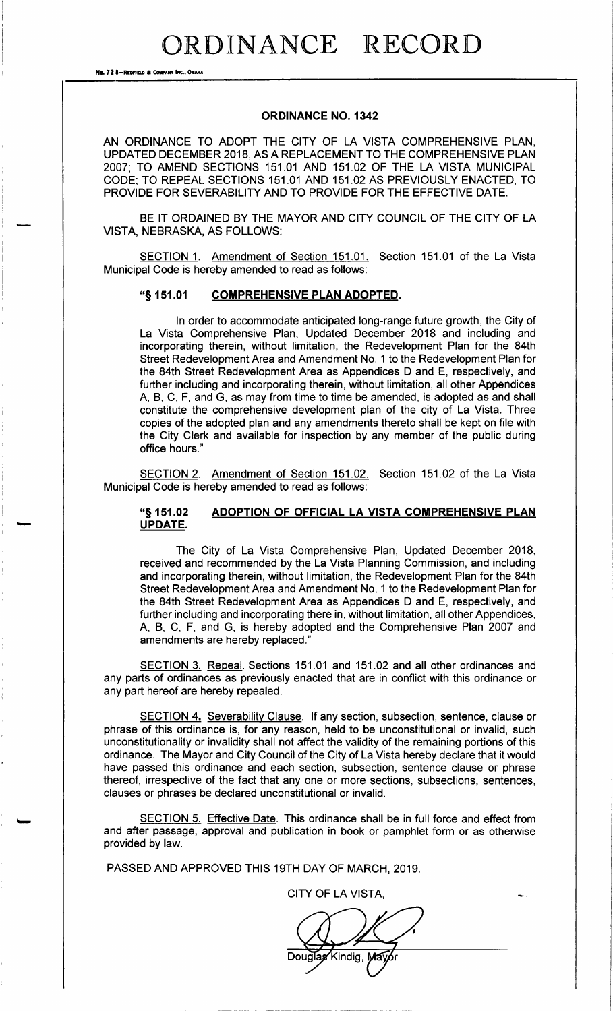## ORDINANCE RECORD

No. 72 8-Reofield & Company Inc., OMAHA

#### ORDINANCE NO. 1342

AN ORDINANCE TO ADOPT THE CITY OF LA VISTA COMPREHENSIVE PLAN, UPDATED DECEMBER 2018, AS A REPLACEMENT TO THE COMPREHENSIVE PLAN 2007; TO AMEND SECTIONS 151.01 AND 151.02 OF THE LA VISTA MUNICIPAL CODE; TO REPEAL SECTIONS 151. 01 AND 151. 02 AS PREVIOUSLY ENACTED, TO PROVIDE FOR SEVERABILITY AND TO PROVIDE FOR THE EFFECTIVE DATE.

BE IT ORDAINED BY THE MAYOR AND CITY COUNCIL OF THE CITY OF LA VISTA, NEBRASKA, AS FOLLOWS:

SECTION 1. Amendment of Section 151.01. Section 151.01 of the La Vista Municipal Code is hereby amended to read as follows:

### "§ 151.01 COMPREHENSIVE PLAN ADOPTED.

In order to accommodate anticipated long-range future growth, the City of La Vista Comprehensive Plan, Updated December 2018 and including and incorporating therein, without limitation, the Redevelopment Plan for the 84th Street Redevelopment Area and Amendment No. 1 to the Redevelopment Plan for the 84th Street Redevelopment Area as Appendices D and E, respectively, and further including and incorporating therein, without limitation, all other Appendices A, B, C, F, and G, as may from time to time be amended, is adopted as and shall constitute the comprehensive development plan of the city of La Vista. Three copies of the adopted plan and any amendments thereto shall be kept on file with the City Clerk and available for inspection by any member of the public during office hours."

SECTION 2. Amendment of Section 151.02. Section 151.02 of the La Vista Municipal Code is hereby amended to read as follows:

### "§ 151.02 ADOPTION OF OFFICIAL LA VISTA COMPREHENSIVE PLAN UPDATE.

The City of La Vista Comprehensive Plan, Updated December 2018, received and recommended by the La Vista Planning Commission, and including and incorporating therein, without limitation, the Redevelopment Plan for the 84th Street Redevelopment Area and Amendment No, 1 to the Redevelopment Plan for the 84th Street Redevelopment Area as Appendices D and E, respectively, and further including and incorporating there in, without limitation, all other Appendices, A, B, C, F, and G, is hereby adopted and the Comprehensive Plan 2007 and amendments are hereby replaced."

SECTION 3. Repeal. Sections 151. 01 and 151. 02 and all other ordinances and any parts of ordinances as previously enacted that are in conflict with this ordinance or any part hereof are hereby repealed.

SECTION 4. Severability Clause. If any section, subsection, sentence, clause or phrase of this ordinance is, for any reason, held to be unconstitutional or invalid, such unconstitutionality or invalidity shall not affect the validity of the remaining portions of this ordinance. The Mayor and City Council of the City of La Vista hereby declare that it would have passed this ordinance and each section, subsection, sentence clause or phrase thereof, irrespective of the fact that any one or more sections, subsections, sentences, clauses or phrases be declared unconstitutional or invalid.

SECTION 5. Effective Date. This ordinance shall be in full force and effect from and after passage, approval and publication in book or pamphlet form or as otherwise provided by law.

PASSED AND APPROVED THIS 19TH DAY OF MARCH, 2019.

CITY OF LA VISTA,

Douglas Kindig, May r